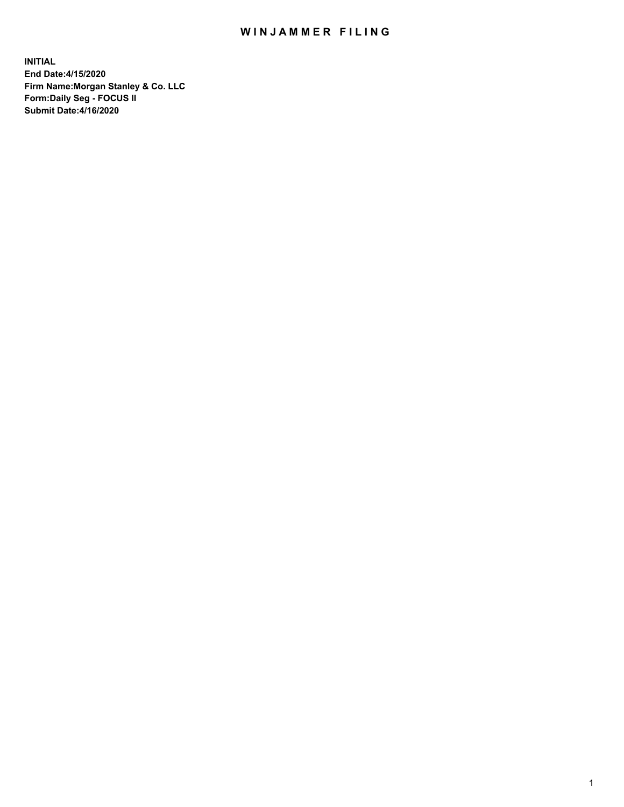## WIN JAMMER FILING

**INITIAL End Date:4/15/2020 Firm Name:Morgan Stanley & Co. LLC Form:Daily Seg - FOCUS II Submit Date:4/16/2020**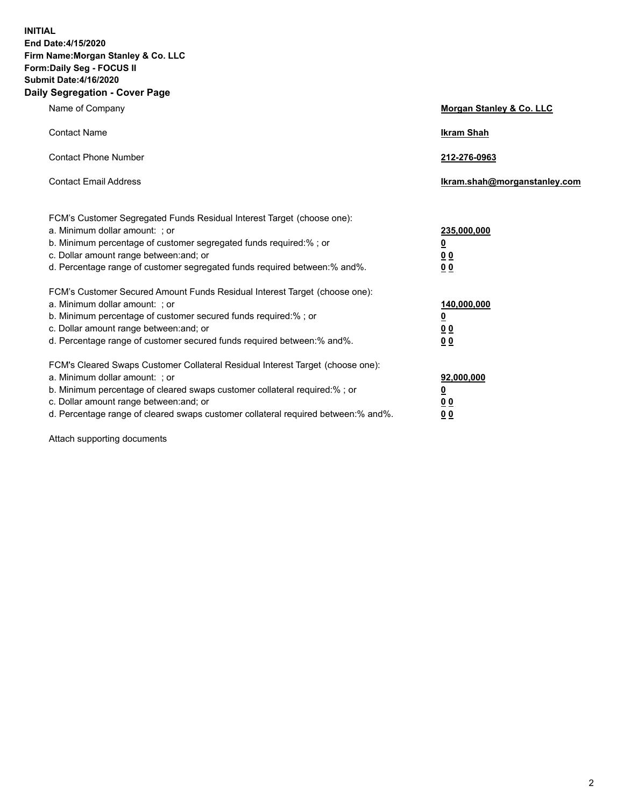**INITIAL End Date:4/15/2020 Firm Name:Morgan Stanley & Co. LLC Form:Daily Seg - FOCUS II Submit Date:4/16/2020 Daily Segregation - Cover Page**

| Name of Company                                                                                          | Morgan Stanley & Co. LLC     |
|----------------------------------------------------------------------------------------------------------|------------------------------|
| <b>Contact Name</b>                                                                                      | <b>Ikram Shah</b>            |
| <b>Contact Phone Number</b>                                                                              | 212-276-0963                 |
| <b>Contact Email Address</b>                                                                             | Ikram.shah@morganstanley.com |
|                                                                                                          |                              |
| FCM's Customer Segregated Funds Residual Interest Target (choose one):<br>a. Minimum dollar amount: ; or | 235,000,000                  |
| b. Minimum percentage of customer segregated funds required:% ; or                                       | <u>0</u>                     |
| c. Dollar amount range between: and; or                                                                  | <u>00</u>                    |
| d. Percentage range of customer segregated funds required between: % and %.                              | 0 <sup>0</sup>               |
| FCM's Customer Secured Amount Funds Residual Interest Target (choose one):                               |                              |
| a. Minimum dollar amount: ; or                                                                           | 140,000,000                  |
| b. Minimum percentage of customer secured funds required:%; or                                           | <u>0</u>                     |
| c. Dollar amount range between: and; or                                                                  | <u>0 0</u>                   |
| d. Percentage range of customer secured funds required between:% and%.                                   | 0 Q                          |
| FCM's Cleared Swaps Customer Collateral Residual Interest Target (choose one):                           |                              |
| a. Minimum dollar amount: ; or                                                                           | 92,000,000                   |
| b. Minimum percentage of cleared swaps customer collateral required:% ; or                               | <u>0</u>                     |
| c. Dollar amount range between: and; or                                                                  | 0 Q                          |
| d. Percentage range of cleared swaps customer collateral required between:% and%.                        | 0 <sub>0</sub>               |

Attach supporting documents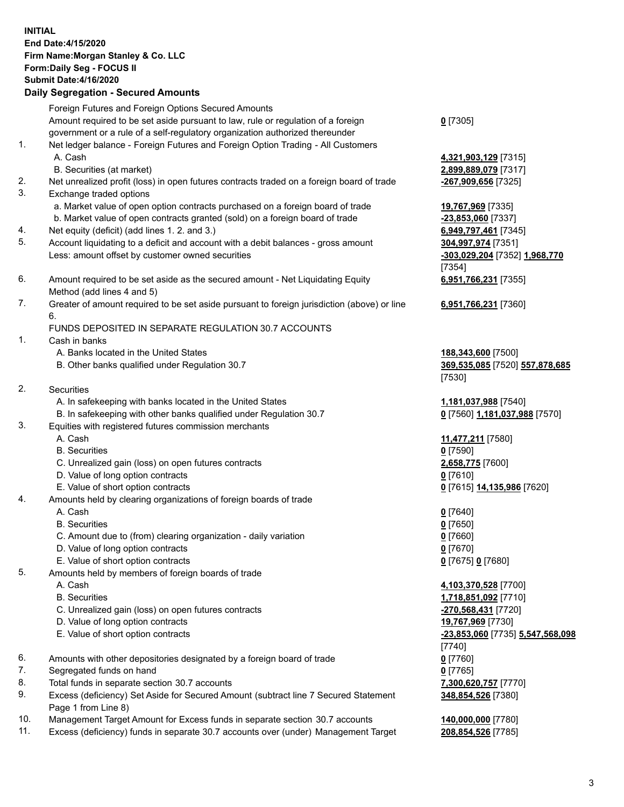## **INITIAL End Date:4/15/2020 Firm Name:Morgan Stanley & Co. LLC Form:Daily Seg - FOCUS II Submit Date:4/16/2020 Daily Segregation - Secured Amounts** Foreign Futures and Foreign Options Secured Amounts Amount required to be set aside pursuant to law, rule or regulation of a foreign government or a rule of a self-regulatory organization authorized thereunder **0** [7305] 1. Net ledger balance - Foreign Futures and Foreign Option Trading - All Customers A. Cash **4,321,903,129** [7315] B. Securities (at market) **2,899,889,079** [7317] 2. Net unrealized profit (loss) in open futures contracts traded on a foreign board of trade **-267,909,656** [7325] 3. Exchange traded options a. Market value of open option contracts purchased on a foreign board of trade **19,767,969** [7335] b. Market value of open contracts granted (sold) on a foreign board of trade **-23,853,060** [7337] 4. Net equity (deficit) (add lines 1. 2. and 3.) **6,949,797,461** [7345] 5. Account liquidating to a deficit and account with a debit balances - gross amount **304,997,974** [7351] Less: amount offset by customer owned securities **-303,029,204** [7352] **1,968,770** [7354] 6. Amount required to be set aside as the secured amount - Net Liquidating Equity Method (add lines 4 and 5) **6,951,766,231** [7355] 7. Greater of amount required to be set aside pursuant to foreign jurisdiction (above) or line 6. **6,951,766,231** [7360] FUNDS DEPOSITED IN SEPARATE REGULATION 30.7 ACCOUNTS 1. Cash in banks A. Banks located in the United States **188,343,600** [7500] B. Other banks qualified under Regulation 30.7 **369,535,085** [7520] **557,878,685** [7530] 2. Securities A. In safekeeping with banks located in the United States **1,181,037,988** [7540] B. In safekeeping with other banks qualified under Regulation 30.7 **0** [7560] **1,181,037,988** [7570] 3. Equities with registered futures commission merchants A. Cash **11,477,211** [7580] B. Securities **0** [7590] C. Unrealized gain (loss) on open futures contracts **2,658,775** [7600] D. Value of long option contracts **0** [7610] E. Value of short option contracts **0** [7615] **14,135,986** [7620] 4. Amounts held by clearing organizations of foreign boards of trade A. Cash **0** [7640] B. Securities **0** [7650] C. Amount due to (from) clearing organization - daily variation **0** [7660] D. Value of long option contracts **0** [7670] E. Value of short option contracts **0** [7675] **0** [7680] 5. Amounts held by members of foreign boards of trade A. Cash **4,103,370,528** [7700] B. Securities **1,718,851,092** [7710] C. Unrealized gain (loss) on open futures contracts **-270,568,431** [7720] D. Value of long option contracts **19,767,969** [7730] E. Value of short option contracts **-23,853,060** [7735] **5,547,568,098** [7740] 6. Amounts with other depositories designated by a foreign board of trade **0** [7760] 7. Segregated funds on hand **0** [7765] 8. Total funds in separate section 30.7 accounts **7,300,620,757** [7770] 9. Excess (deficiency) Set Aside for Secured Amount (subtract line 7 Secured Statement Page 1 from Line 8) **348,854,526** [7380]

- 10. Management Target Amount for Excess funds in separate section 30.7 accounts **140,000,000** [7780]
- 11. Excess (deficiency) funds in separate 30.7 accounts over (under) Management Target **208,854,526** [7785]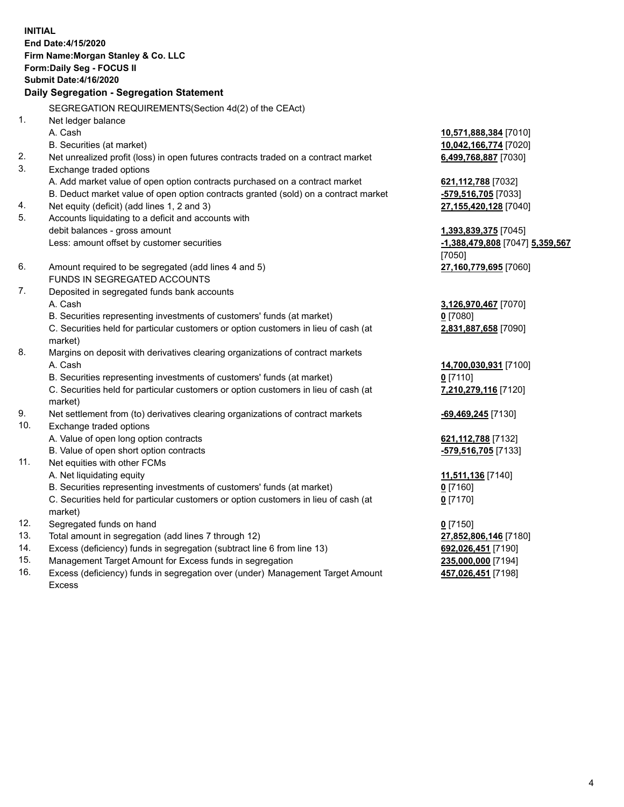**INITIAL End Date:4/15/2020 Firm Name:Morgan Stanley & Co. LLC Form:Daily Seg - FOCUS II Submit Date:4/16/2020 Daily Segregation - Segregation Statement** SEGREGATION REQUIREMENTS(Section 4d(2) of the CEAct) 1. Net ledger balance A. Cash **10,571,888,384** [7010] B. Securities (at market) **10,042,166,774** [7020] 2. Net unrealized profit (loss) in open futures contracts traded on a contract market **6,499,768,887** [7030] 3. Exchange traded options A. Add market value of open option contracts purchased on a contract market **621,112,788** [7032] B. Deduct market value of open option contracts granted (sold) on a contract market **-579,516,705** [7033] 4. Net equity (deficit) (add lines 1, 2 and 3) **27,155,420,128** [7040] 5. Accounts liquidating to a deficit and accounts with debit balances - gross amount **1,393,839,375** [7045] Less: amount offset by customer securities **-1,388,479,808** [7047] **5,359,567** [7050] 6. Amount required to be segregated (add lines 4 and 5) **27,160,779,695** [7060] FUNDS IN SEGREGATED ACCOUNTS 7. Deposited in segregated funds bank accounts A. Cash **3,126,970,467** [7070] B. Securities representing investments of customers' funds (at market) **0** [7080] C. Securities held for particular customers or option customers in lieu of cash (at market) **2,831,887,658** [7090] 8. Margins on deposit with derivatives clearing organizations of contract markets A. Cash **14,700,030,931** [7100] B. Securities representing investments of customers' funds (at market) **0** [7110] C. Securities held for particular customers or option customers in lieu of cash (at market) **7,210,279,116** [7120] 9. Net settlement from (to) derivatives clearing organizations of contract markets **-69,469,245** [7130] 10. Exchange traded options A. Value of open long option contracts **621,112,788** [7132] B. Value of open short option contracts **-579,516,705** [7133] 11. Net equities with other FCMs A. Net liquidating equity **11,511,136** [7140] B. Securities representing investments of customers' funds (at market) **0** [7160] C. Securities held for particular customers or option customers in lieu of cash (at market) **0** [7170] 12. Segregated funds on hand **0** [7150] 13. Total amount in segregation (add lines 7 through 12) **27,852,806,146** [7180] 14. Excess (deficiency) funds in segregation (subtract line 6 from line 13) **692,026,451** [7190] 15. Management Target Amount for Excess funds in segregation **235,000,000** [7194]

16. Excess (deficiency) funds in segregation over (under) Management Target Amount Excess

**457,026,451** [7198]